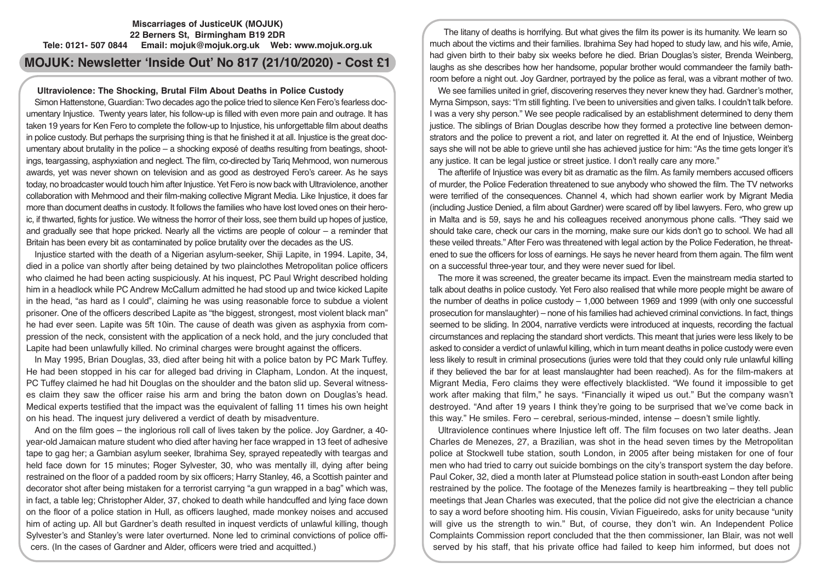# **Miscarriages of JusticeUK (MOJUK) 22 Berners St, Birmingham B19 2DR Tele: 0121- 507 0844 Email: mojuk@mojuk.org.uk Web: www.mojuk.org.uk**

# **MOJUK: Newsletter 'Inside Out' No 817 (21/10/2020) - Cost £1**

# **Ultraviolence: The Shocking, Brutal Film About Deaths in Police Custody**

Simon Hattenstone, Guardian: Two decades ago the police tried to silence Ken Fero's fearless documentary Injustice. Twenty years later, his follow-up is filled with even more pain and outrage. It has taken 19 years for Ken Fero to complete the follow-up to Injustice, his unforgettable film about deaths in police custody. But perhaps the surprising thing is that he finished it at all. Injustice is the great documentary about brutality in the police – a shocking exposé of deaths resulting from beatings, shootings, teargassing, asphyxiation and neglect. The film, co-directed by Tariq Mehmood, won numerous awards, yet was never shown on television and as good as destroyed Fero's career. As he says today, no broadcaster would touch him after Injustice. Yet Fero is now back with Ultraviolence, another collaboration with Mehmood and their film-making collective Migrant Media. Like Injustice, it does far more than document deaths in custody. It follows the families who have lost loved ones on their heroic, if thwarted, fights for justice. We witness the horror of their loss, see them build up hopes of justice, and gradually see that hope pricked. Nearly all the victims are people of colour – a reminder that Britain has been every bit as contaminated by police brutality over the decades as the US.

Injustice started with the death of a Nigerian asylum-seeker, Shiji Lapite, in 1994. Lapite, 34, died in a police van shortly after being detained by two plainclothes Metropolitan police officers who claimed he had been acting suspiciously. At his inquest, PC Paul Wright described holding him in a headlock while PC Andrew McCallum admitted he had stood up and twice kicked Lapite in the head, "as hard as I could", claiming he was using reasonable force to subdue a violent prisoner. One of the officers described Lapite as "the biggest, strongest, most violent black man" he had ever seen. Lapite was 5ft 10in. The cause of death was given as asphyxia from compression of the neck, consistent with the application of a neck hold, and the jury concluded that Lapite had been unlawfully killed. No criminal charges were brought against the officers.

In May 1995, Brian Douglas, 33, died after being hit with a police baton by PC Mark Tuffey. He had been stopped in his car for alleged bad driving in Clapham, London. At the inquest, PC Tuffey claimed he had hit Douglas on the shoulder and the baton slid up. Several witnesses claim they saw the officer raise his arm and bring the baton down on Douglas's head. Medical experts testified that the impact was the equivalent of falling 11 times his own height on his head. The inquest jury delivered a verdict of death by misadventure.

And on the film goes – the inglorious roll call of lives taken by the police. Joy Gardner, a 40 year-old Jamaican mature student who died after having her face wrapped in 13 feet of adhesive tape to gag her; a Gambian asylum seeker, Ibrahima Sey, sprayed repeatedly with teargas and held face down for 15 minutes; Roger Sylvester, 30, who was mentally ill, dying after being restrained on the floor of a padded room by six officers; Harry Stanley, 46, a Scottish painter and decorator shot after being mistaken for a terrorist carrying "a gun wrapped in a bag" which was, in fact, a table leg; Christopher Alder, 37, choked to death while handcuffed and lying face down on the floor of a police station in Hull, as officers laughed, made monkey noises and accused him of acting up. All but Gardner's death resulted in inquest verdicts of unlawful killing, though Sylvester's and Stanley's were later overturned. None led to criminal convictions of police officers. (In the cases of Gardner and Alder, officers were tried and acquitted.)

The litany of deaths is horrifying. But what gives the film its power is its humanity. We learn so much about the victims and their families. Ibrahima Sey had hoped to study law, and his wife, Amie, had given birth to their baby six weeks before he died. Brian Douglas's sister, Brenda Weinberg, laughs as she describes how her handsome, popular brother would commandeer the family bathroom before a night out. Joy Gardner, portrayed by the police as feral, was a vibrant mother of two.

We see families united in grief, discovering reserves they never knew they had. Gardner's mother, Myrna Simpson, says: "I'm still fighting. I've been to universities and given talks. I couldn't talk before. I was a very shy person." We see people radicalised by an establishment determined to deny them justice. The siblings of Brian Douglas describe how they formed a protective line between demonstrators and the police to prevent a riot, and later on regretted it. At the end of Injustice, Weinberg says she will not be able to grieve until she has achieved justice for him: "As the time gets longer it's any justice. It can be legal justice or street justice. I don't really care any more."

The afterlife of Injustice was every bit as dramatic as the film. As family members accused officers of murder, the Police Federation threatened to sue anybody who showed the film. The TV networks were terrified of the consequences. Channel 4, which had shown earlier work by Migrant Media (including Justice Denied, a film about Gardner) were scared off by libel lawyers. Fero, who grew up in Malta and is 59, says he and his colleagues received anonymous phone calls. "They said we should take care, check our cars in the morning, make sure our kids don't go to school. We had all these veiled threats." After Fero was threatened with legal action by the Police Federation, he threatened to sue the officers for loss of earnings. He says he never heard from them again. The film went on a successful three-year tour, and they were never sued for libel.

The more it was screened, the greater became its impact. Even the mainstream media started to talk about deaths in police custody. Yet Fero also realised that while more people might be aware of the number of deaths in police custody – 1,000 between 1969 and 1999 (with only one successful prosecution for manslaughter) – none of his families had achieved criminal convictions. In fact, things seemed to be sliding. In 2004, narrative verdicts were introduced at inquests, recording the factual circumstances and replacing the standard short verdicts. This meant that juries were less likely to be asked to consider a verdict of unlawful killing, which in turn meant deaths in police custody were even less likely to result in criminal prosecutions (juries were told that they could only rule unlawful killing if they believed the bar for at least manslaughter had been reached). As for the film-makers at Migrant Media, Fero claims they were effectively blacklisted. "We found it impossible to get work after making that film," he says. "Financially it wiped us out." But the company wasn't destroyed. "And after 19 years I think they're going to be surprised that we've come back in this way." He smiles. Fero – cerebral, serious-minded, intense – doesn't smile lightly.

Ultraviolence continues where Injustice left off. The film focuses on two later deaths. Jean Charles de Menezes, 27, a Brazilian, was shot in the head seven times by the Metropolitan police at Stockwell tube station, south London, in 2005 after being mistaken for one of four men who had tried to carry out suicide bombings on the city's transport system the day before. Paul Coker, 32, died a month later at Plumstead police station in south-east London after being restrained by the police. The footage of the Menezes family is heartbreaking – they tell public meetings that Jean Charles was executed, that the police did not give the electrician a chance to say a word before shooting him. His cousin, Vivian Figueiredo, asks for unity because "unity will give us the strength to win." But, of course, they don't win. An Independent Police Complaints Commission report concluded that the then commissioner, Ian Blair, was not well served by his staff, that his private office had failed to keep him informed, but does not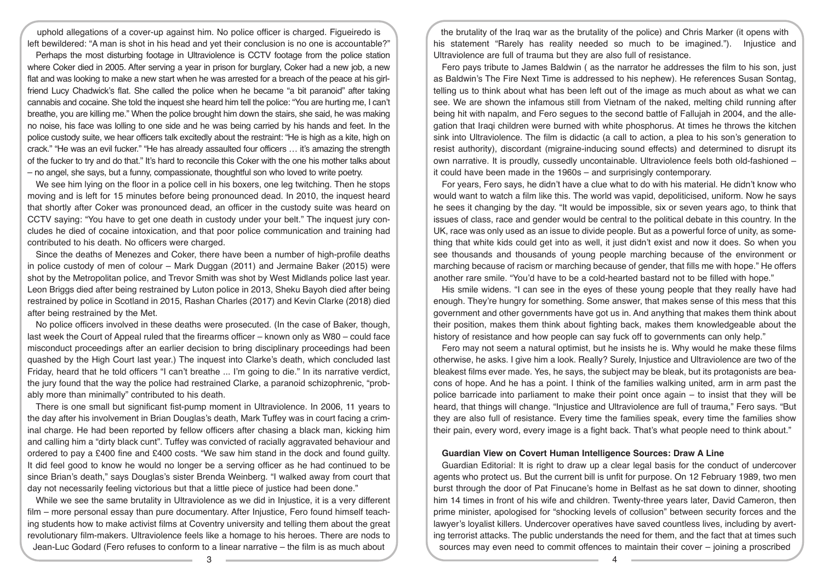uphold allegations of a cover-up against him. No police officer is charged. Figueiredo is left bewildered: "A man is shot in his head and yet their conclusion is no one is accountable?"

Perhaps the most disturbing footage in Ultraviolence is CCTV footage from the police station where Coker died in 2005. After serving a year in prison for burglary, Coker had a new job, a new flat and was looking to make a new start when he was arrested for a breach of the peace at his girlfriend Lucy Chadwick's flat. She called the police when he became "a bit paranoid" after taking cannabis and cocaine. She told the inquest she heard him tell the police: "You are hurting me, I can't breathe, you are killing me." When the police brought him down the stairs, she said, he was making no noise, his face was lolling to one side and he was being carried by his hands and feet. In the police custody suite, we hear officers talk excitedly about the restraint: "He is high as a kite, high on crack." "He was an evil fucker." "He has already assaulted four officers … it's amazing the strength of the fucker to try and do that." It's hard to reconcile this Coker with the one his mother talks about – no angel, she says, but a funny, compassionate, thoughtful son who loved to write poetry.

We see him lying on the floor in a police cell in his boxers, one leg twitching. Then he stops moving and is left for 15 minutes before being pronounced dead. In 2010, the inquest heard that shortly after Coker was pronounced dead, an officer in the custody suite was heard on CCTV saying: "You have to get one death in custody under your belt." The inquest jury concludes he died of cocaine intoxication, and that poor police communication and training had contributed to his death. No officers were charged.

Since the deaths of Menezes and Coker, there have been a number of high-profile deaths in police custody of men of colour – Mark Duggan (2011) and Jermaine Baker (2015) were shot by the Metropolitan police, and Trevor Smith was shot by West Midlands police last year. Leon Briggs died after being restrained by Luton police in 2013, Sheku Bayoh died after being restrained by police in Scotland in 2015, Rashan Charles (2017) and Kevin Clarke (2018) died after being restrained by the Met.

No police officers involved in these deaths were prosecuted. (In the case of Baker, though, last week the Court of Appeal ruled that the firearms officer – known only as W80 – could face misconduct proceedings after an earlier decision to bring disciplinary proceedings had been quashed by the High Court last year.) The inquest into Clarke's death, which concluded last Friday, heard that he told officers "I can't breathe ... I'm going to die." In its narrative verdict, the jury found that the way the police had restrained Clarke, a paranoid schizophrenic, "probably more than minimally" contributed to his death.

There is one small but significant fist-pump moment in Ultraviolence. In 2006, 11 years to the day after his involvement in Brian Douglas's death, Mark Tuffey was in court facing a criminal charge. He had been reported by fellow officers after chasing a black man, kicking him and calling him a "dirty black cunt". Tuffey was convicted of racially aggravated behaviour and ordered to pay a £400 fine and £400 costs. "We saw him stand in the dock and found guilty. It did feel good to know he would no longer be a serving officer as he had continued to be since Brian's death," says Douglas's sister Brenda Weinberg. "I walked away from court that day not necessarily feeling victorious but that a little piece of justice had been done."

While we see the same brutality in Ultraviolence as we did in Injustice, it is a very different film – more personal essay than pure documentary. After Injustice, Fero found himself teaching students how to make activist films at Coventry university and telling them about the great revolutionary film-makers. Ultraviolence feels like a homage to his heroes. There are nods to Jean-Luc Godard (Fero refuses to conform to a linear narrative – the film is as much about

the brutality of the Iraq war as the brutality of the police) and Chris Marker (it opens with his statement "Rarely has reality needed so much to be imagined."). Injustice and Ultraviolence are full of trauma but they are also full of resistance.

Fero pays tribute to James Baldwin ( as the narrator he addresses the film to his son, just as Baldwin's The Fire Next Time is addressed to his nephew). He references Susan Sontag, telling us to think about what has been left out of the image as much about as what we can see. We are shown the infamous still from Vietnam of the naked, melting child running after being hit with napalm, and Fero segues to the second battle of Fallujah in 2004, and the allegation that Iraqi children were burned with white phosphorus. At times he throws the kitchen sink into Ultraviolence. The film is didactic (a call to action, a plea to his son's generation to resist authority), discordant (migraine-inducing sound effects) and determined to disrupt its own narrative. It is proudly, cussedly uncontainable. Ultraviolence feels both old-fashioned – it could have been made in the 1960s – and surprisingly contemporary.

For years, Fero says, he didn't have a clue what to do with his material. He didn't know who would want to watch a film like this. The world was vapid, depoliticised, uniform. Now he says he sees it changing by the day. "It would be impossible, six or seven years ago, to think that issues of class, race and gender would be central to the political debate in this country. In the UK, race was only used as an issue to divide people. But as a powerful force of unity, as something that white kids could get into as well, it just didn't exist and now it does. So when you see thousands and thousands of young people marching because of the environment or marching because of racism or marching because of gender, that fills me with hope." He offers another rare smile. "You'd have to be a cold-hearted bastard not to be filled with hope."

His smile widens. "I can see in the eyes of these young people that they really have had enough. They're hungry for something. Some answer, that makes sense of this mess that this government and other governments have got us in. And anything that makes them think about their position, makes them think about fighting back, makes them knowledgeable about the history of resistance and how people can say fuck off to governments can only help."

Fero may not seem a natural optimist, but he insists he is. Why would he make these films otherwise, he asks. I give him a look. Really? Surely, Injustice and Ultraviolence are two of the bleakest films ever made. Yes, he says, the subject may be bleak, but its protagonists are beacons of hope. And he has a point. I think of the families walking united, arm in arm past the police barricade into parliament to make their point once again – to insist that they will be heard, that things will change. "Injustice and Ultraviolence are full of trauma," Fero says. "But they are also full of resistance. Every time the families speak, every time the families show their pain, every word, every image is a fight back. That's what people need to think about."

# **Guardian View on Covert Human Intelligence Sources: Draw A Line**

Guardian Editorial: It is right to draw up a clear legal basis for the conduct of undercover agents who protect us. But the current bill is unfit for purpose. On 12 February 1989, two men burst through the door of Pat Finucane's home in Belfast as he sat down to dinner, shooting him 14 times in front of his wife and children. Twenty-three years later, David Cameron, then prime minister, apologised for "shocking levels of collusion" between security forces and the lawyer's loyalist killers. Undercover operatives have saved countless lives, including by averting terrorist attacks. The public understands the need for them, and the fact that at times such sources may even need to commit offences to maintain their cover – joining a proscribed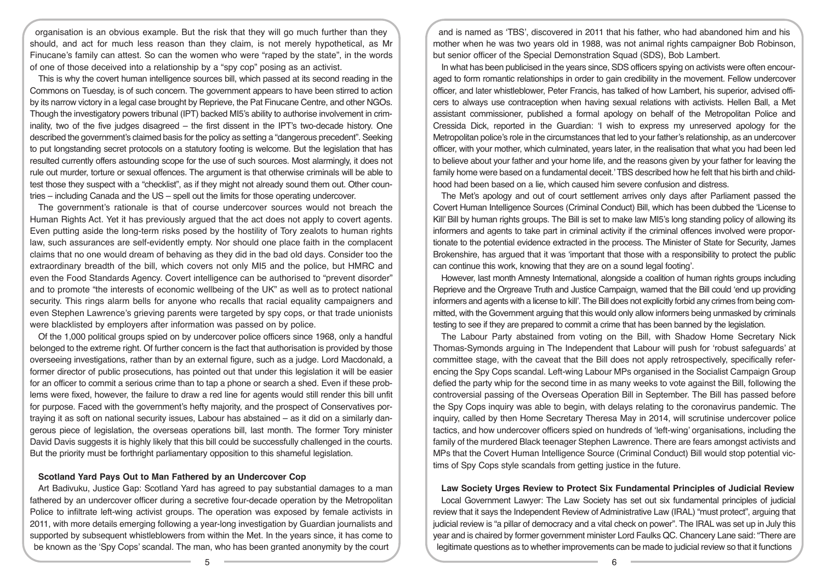organisation is an obvious example. But the risk that they will go much further than they should, and act for much less reason than they claim, is not merely hypothetical, as Mr Finucane's family can attest. So can the women who were "raped by the state", in the words of one of those deceived into a relationship by a "spy cop" posing as an activist.

This is why the covert human intelligence sources bill, which passed at its second reading in the Commons on Tuesday, is of such concern. The government appears to have been stirred to action by its narrow victory in a legal case brought by Reprieve, the Pat Finucane Centre, and other NGOs. Though the investigatory powers tribunal (IPT) backed MI5's ability to authorise involvement in criminality, two of the five judges disagreed – the first dissent in the IPT's two-decade history. One described the government's claimed basis for the policy as setting a "dangerous precedent". Seeking to put longstanding secret protocols on a statutory footing is welcome. But the legislation that has resulted currently offers astounding scope for the use of such sources. Most alarmingly, it does not rule out murder, torture or sexual offences. The argument is that otherwise criminals will be able to test those they suspect with a "checklist", as if they might not already sound them out. Other countries – including Canada and the US – spell out the limits for those operating undercover.

The government's rationale is that of course undercover sources would not breach the Human Rights Act. Yet it has previously argued that the act does not apply to covert agents. Even putting aside the long-term risks posed by the hostility of Tory zealots to human rights law, such assurances are self-evidently empty. Nor should one place faith in the complacent claims that no one would dream of behaving as they did in the bad old days. Consider too the extraordinary breadth of the bill, which covers not only MI5 and the police, but HMRC and even the Food Standards Agency. Covert intelligence can be authorised to "prevent disorder" and to promote "the interests of economic wellbeing of the UK" as well as to protect national security. This rings alarm bells for anyone who recalls that racial equality campaigners and even Stephen Lawrence's grieving parents were targeted by spy cops, or that trade unionists were blacklisted by employers after information was passed on by police.

Of the 1,000 political groups spied on by undercover police officers since 1968, only a handful belonged to the extreme right. Of further concern is the fact that authorisation is provided by those overseeing investigations, rather than by an external figure, such as a judge. Lord Macdonald, a former director of public prosecutions, has pointed out that under this legislation it will be easier for an officer to commit a serious crime than to tap a phone or search a shed. Even if these problems were fixed, however, the failure to draw a red line for agents would still render this bill unfit for purpose. Faced with the government's hefty majority, and the prospect of Conservatives portraying it as soft on national security issues, Labour has abstained – as it did on a similarly dangerous piece of legislation, the overseas operations bill, last month. The former Tory minister David Davis suggests it is highly likely that this bill could be successfully challenged in the courts. But the priority must be forthright parliamentary opposition to this shameful legislation.

## **Scotland Yard Pays Out to Man Fathered by an Undercover Cop**

Art Badivuku, Justice Gap: Scotland Yard has agreed to pay substantial damages to a man fathered by an undercover officer during a secretive four-decade operation by the Metropolitan Police to infiltrate left-wing activist groups. The operation was exposed by female activists in 2011, with more details emerging following a year-long investigation by Guardian journalists and supported by subsequent whistleblowers from within the Met. In the years since, it has come to be known as the 'Spy Cops' scandal. The man, who has been granted anonymity by the court

and is named as 'TBS', discovered in 2011 that his father, who had abandoned him and his mother when he was two years old in 1988, was not animal rights campaigner Bob Robinson, but senior officer of the Special Demonstration Squad (SDS), Bob Lambert.

In what has been publicised in the years since, SDS officers spying on activists were often encouraged to form romantic relationships in order to gain credibility in the movement. Fellow undercover officer, and later whistleblower, Peter Francis, has talked of how Lambert, his superior, advised officers to always use contraception when having sexual relations with activists. Hellen Ball, a Met assistant commissioner, published a formal apology on behalf of the Metropolitan Police and Cressida Dick, reported in the Guardian: 'I wish to express my unreserved apology for the Metropolitan police's role in the circumstances that led to your father's relationship, as an undercover officer, with your mother, which culminated, years later, in the realisation that what you had been led to believe about your father and your home life, and the reasons given by your father for leaving the family home were based on a fundamental deceit.' TBS described how he felt that his birth and childhood had been based on a lie, which caused him severe confusion and distress.

The Met's apology and out of court settlement arrives only days after Parliament passed the Covert Human Intelligence Sources (Criminal Conduct) Bill, which has been dubbed the 'License to Kill' Bill by human rights groups. The Bill is set to make law MI5's long standing policy of allowing its informers and agents to take part in criminal activity if the criminal offences involved were proportionate to the potential evidence extracted in the process. The Minister of State for Security, James Brokenshire, has argued that it was 'important that those with a responsibility to protect the public can continue this work, knowing that they are on a sound legal footing'.

However, last month Amnesty International, alongside a coalition of human rights groups including Reprieve and the Orgreave Truth and Justice Campaign, warned that the Bill could 'end up providing informers and agents with a license to kill'. The Bill does not explicitly forbid any crimes from being committed, with the Government arguing that this would only allow informers being unmasked by criminals testing to see if they are prepared to commit a crime that has been banned by the legislation.

The Labour Party abstained from voting on the Bill, with Shadow Home Secretary Nick Thomas-Symonds arguing in The Independent that Labour will push for 'robust safeguards' at committee stage, with the caveat that the Bill does not apply retrospectively, specifically referencing the Spy Cops scandal. Left-wing Labour MPs organised in the Socialist Campaign Group defied the party whip for the second time in as many weeks to vote against the Bill, following the controversial passing of the Overseas Operation Bill in September. The Bill has passed before the Spy Cops inquiry was able to begin, with delays relating to the coronavirus pandemic. The inquiry, called by then Home Secretary Theresa May in 2014, will scrutinise undercover police tactics, and how undercover officers spied on hundreds of 'left-wing' organisations, including the family of the murdered Black teenager Stephen Lawrence. There are fears amongst activists and MPs that the Covert Human Intelligence Source (Criminal Conduct) Bill would stop potential victims of Spy Cops style scandals from getting justice in the future.

# **Law Society Urges Review to Protect Six Fundamental Principles of Judicial Review**

Local Government Lawyer: The Law Society has set out six fundamental principles of judicial review that it says the Independent Review of Administrative Law (IRAL) "must protect", arguing that judicial review is "a pillar of democracy and a vital check on power". The IRAL was set up in July this year and is chaired by former government minister Lord Faulks QC. Chancery Lane said: "There are legitimate questions as to whether improvements can be made to judicial review so that it functions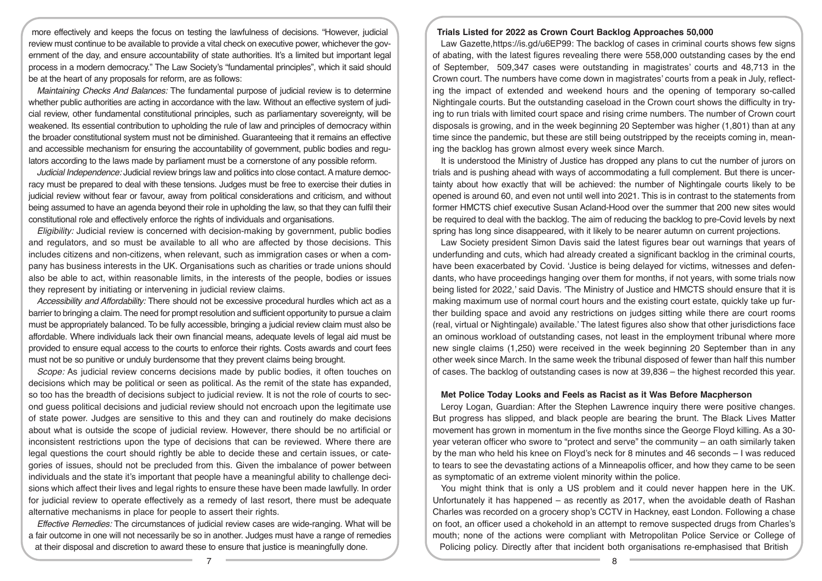more effectively and keeps the focus on testing the lawfulness of decisions. "However, judicial review must continue to be available to provide a vital check on executive power, whichever the government of the day, and ensure accountability of state authorities. It's a limited but important legal process in a modern democracy." The Law Society's "fundamental principles", which it said should be at the heart of any proposals for reform, are as follows:

*Maintaining Checks And Balances:* The fundamental purpose of judicial review is to determine whether public authorities are acting in accordance with the law. Without an effective system of judicial review, other fundamental constitutional principles, such as parliamentary sovereignty, will be weakened. Its essential contribution to upholding the rule of law and principles of democracy within the broader constitutional system must not be diminished. Guaranteeing that it remains an effective and accessible mechanism for ensuring the accountability of government, public bodies and regulators according to the laws made by parliament must be a cornerstone of any possible reform.

*Judicial Independence:* Judicial review brings law and politics into close contact. A mature democracy must be prepared to deal with these tensions. Judges must be free to exercise their duties in judicial review without fear or favour, away from political considerations and criticism, and without being assumed to have an agenda beyond their role in upholding the law, so that they can fulfil their constitutional role and effectively enforce the rights of individuals and organisations.

*Eligibility:* Judicial review is concerned with decision-making by government, public bodies and regulators, and so must be available to all who are affected by those decisions. This includes citizens and non-citizens, when relevant, such as immigration cases or when a company has business interests in the UK. Organisations such as charities or trade unions should also be able to act, within reasonable limits, in the interests of the people, bodies or issues they represent by initiating or intervening in judicial review claims.

*Accessibility and Affordability:* There should not be excessive procedural hurdles which act as a barrier to bringing a claim. The need for prompt resolution and sufficient opportunity to pursue a claim must be appropriately balanced. To be fully accessible, bringing a judicial review claim must also be affordable. Where individuals lack their own financial means, adequate levels of legal aid must be provided to ensure equal access to the courts to enforce their rights. Costs awards and court fees must not be so punitive or unduly burdensome that they prevent claims being brought.

*Scope:* As judicial review concerns decisions made by public bodies, it often touches on decisions which may be political or seen as political. As the remit of the state has expanded, so too has the breadth of decisions subject to judicial review. It is not the role of courts to second guess political decisions and judicial review should not encroach upon the legitimate use of state power. Judges are sensitive to this and they can and routinely do make decisions about what is outside the scope of judicial review. However, there should be no artificial or inconsistent restrictions upon the type of decisions that can be reviewed. Where there are legal questions the court should rightly be able to decide these and certain issues, or categories of issues, should not be precluded from this. Given the imbalance of power between individuals and the state it's important that people have a meaningful ability to challenge decisions which affect their lives and legal rights to ensure these have been made lawfully. In order for judicial review to operate effectively as a remedy of last resort, there must be adequate alternative mechanisms in place for people to assert their rights.

*Effective Remedies:* The circumstances of judicial review cases are wide-ranging. What will be a fair outcome in one will not necessarily be so in another. Judges must have a range of remedies at their disposal and discretion to award these to ensure that justice is meaningfully done.

## **Trials Listed for 2022 as Crown Court Backlog Approaches 50,000**

Law Gazette,https://is.gd/u6EP99: The backlog of cases in criminal courts shows few signs of abating, with the latest figures revealing there were 558,000 outstanding cases by the end of September, 509,347 cases were outstanding in magistrates' courts and 48,713 in the Crown court. The numbers have come down in magistrates' courts from a peak in July, reflecting the impact of extended and weekend hours and the opening of temporary so-called Nightingale courts. But the outstanding caseload in the Crown court shows the difficulty in trying to run trials with limited court space and rising crime numbers. The number of Crown court disposals is growing, and in the week beginning 20 September was higher (1,801) than at any time since the pandemic, but these are still being outstripped by the receipts coming in, meaning the backlog has grown almost every week since March.

It is understood the Ministry of Justice has dropped any plans to cut the number of jurors on trials and is pushing ahead with ways of accommodating a full complement. But there is uncertainty about how exactly that will be achieved: the number of Nightingale courts likely to be opened is around 60, and even not until well into 2021. This is in contrast to the statements from former HMCTS chief executive Susan Acland-Hood over the summer that 200 new sites would be required to deal with the backlog. The aim of reducing the backlog to pre-Covid levels by next spring has long since disappeared, with it likely to be nearer autumn on current projections.

Law Society president Simon Davis said the latest figures bear out warnings that years of underfunding and cuts, which had already created a significant backlog in the criminal courts, have been exacerbated by Covid. 'Justice is being delayed for victims, witnesses and defendants, who have proceedings hanging over them for months, if not years, with some trials now being listed for 2022,' said Davis. 'The Ministry of Justice and HMCTS should ensure that it is making maximum use of normal court hours and the existing court estate, quickly take up further building space and avoid any restrictions on judges sitting while there are court rooms (real, virtual or Nightingale) available.' The latest figures also show that other jurisdictions face an ominous workload of outstanding cases, not least in the employment tribunal where more new single claims (1,250) were received in the week beginning 20 September than in any other week since March. In the same week the tribunal disposed of fewer than half this number of cases. The backlog of outstanding cases is now at 39,836 – the highest recorded this year.

#### **Met Police Today Looks and Feels as Racist as it Was Before Macpherson**

Leroy Logan, Guardian: After the Stephen Lawrence inquiry there were positive changes. But progress has slipped, and black people are bearing the brunt. The Black Lives Matter movement has grown in momentum in the five months since the George Floyd killing. As a 30 year veteran officer who swore to "protect and serve" the community – an oath similarly taken by the man who held his knee on Floyd's neck for 8 minutes and 46 seconds – I was reduced to tears to see the devastating actions of a Minneapolis officer, and how they came to be seen as symptomatic of an extreme violent minority within the police.

You might think that is only a US problem and it could never happen here in the UK. Unfortunately it has happened – as recently as 2017, when the avoidable death of Rashan Charles was recorded on a grocery shop's CCTV in Hackney, east London. Following a chase on foot, an officer used a chokehold in an attempt to remove suspected drugs from Charles's mouth; none of the actions were compliant with Metropolitan Police Service or College of Policing policy. Directly after that incident both organisations re-emphasised that British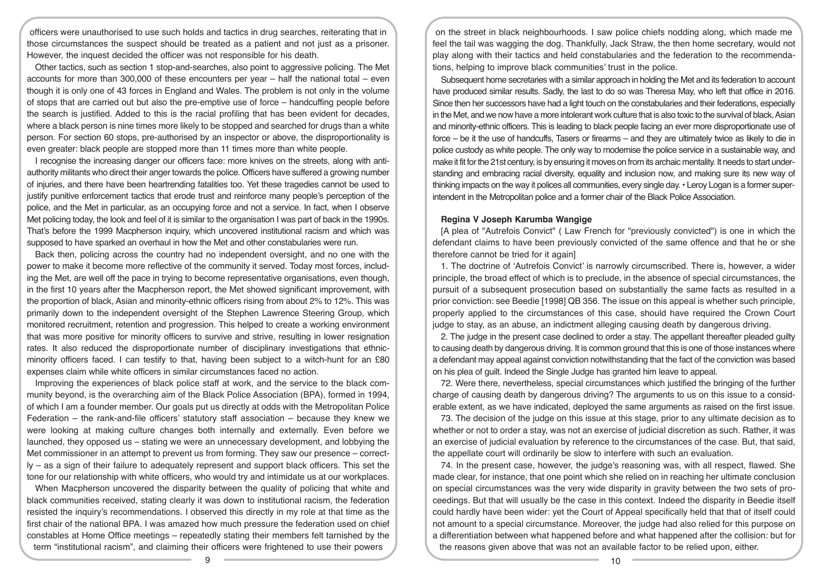officers were unauthorised to use such holds and tactics in drug searches, reiterating that in those circumstances the suspect should be treated as a patient and not just as a prisoner. However, the inquest decided the officer was not responsible for his death.

Other tactics, such as section 1 stop-and-searches, also point to aggressive policing. The Met accounts for more than 300,000 of these encounters per year – half the national total – even though it is only one of 43 forces in England and Wales. The problem is not only in the volume of stops that are carried out but also the pre-emptive use of force – handcuffing people before the search is justified. Added to this is the racial profiling that has been evident for decades, where a black person is nine times more likely to be stopped and searched for drugs than a white person. For section 60 stops, pre-authorised by an inspector or above, the disproportionality is even greater: black people are stopped more than 11 times more than white people.

I recognise the increasing danger our officers face: more knives on the streets, along with antiauthority militants who direct their anger towards the police. Officers have suffered a growing number of injuries, and there have been heartrending fatalities too. Yet these tragedies cannot be used to justify punitive enforcement tactics that erode trust and reinforce many people's perception of the police, and the Met in particular, as an occupying force and not a service. In fact, when I observe Met policing today, the look and feel of it is similar to the organisation I was part of back in the 1990s. That's before the 1999 Macpherson inquiry, which uncovered institutional racism and which was supposed to have sparked an overhaul in how the Met and other constabularies were run.

Back then, policing across the country had no independent oversight, and no one with the power to make it become more reflective of the community it served. Today most forces, including the Met, are well off the pace in trying to become representative organisations, even though, in the first 10 years after the Macpherson report, the Met showed significant improvement, with the proportion of black, Asian and minority-ethnic officers rising from about 2% to 12%. This was primarily down to the independent oversight of the Stephen Lawrence Steering Group, which monitored recruitment, retention and progression. This helped to create a working environment that was more positive for minority officers to survive and strive, resulting in lower resignation rates. It also reduced the disproportionate number of disciplinary investigations that ethnicminority officers faced. I can testify to that, having been subject to a witch-hunt for an £80 expenses claim while white officers in similar circumstances faced no action.

Improving the experiences of black police staff at work, and the service to the black community beyond, is the overarching aim of the Black Police Association (BPA), formed in 1994, of which I am a founder member. Our goals put us directly at odds with the Metropolitan Police Federation – the rank-and-file officers' statutory staff association – because they knew we were looking at making culture changes both internally and externally. Even before we launched, they opposed us – stating we were an unnecessary development, and lobbying the Met commissioner in an attempt to prevent us from forming. They saw our presence – correctly – as a sign of their failure to adequately represent and support black officers. This set the tone for our relationship with white officers, who would try and intimidate us at our workplaces.

When Macpherson uncovered the disparity between the quality of policing that white and black communities received, stating clearly it was down to institutional racism, the federation resisted the inquiry's recommendations. I observed this directly in my role at that time as the first chair of the national BPA. I was amazed how much pressure the federation used on chief constables at Home Office meetings – repeatedly stating their members felt tarnished by the term "institutional racism", and claiming their officers were frightened to use their powers

on the street in black neighbourhoods. I saw police chiefs nodding along, which made me feel the tail was wagging the dog. Thankfully, Jack Straw, the then home secretary, would not play along with their tactics and held constabularies and the federation to the recommendations, helping to improve black communities' trust in the police.

Subsequent home secretaries with a similar approach in holding the Met and its federation to account have produced similar results. Sadly, the last to do so was Theresa May, who left that office in 2016. Since then her successors have had a light touch on the constabularies and their federations, especially in the Met, and we now have a more intolerant work culture that is also toxic to the survival of black, Asian and minority-ethnic officers. This is leading to black people facing an ever more disproportionate use of force – be it the use of handcuffs, Tasers or firearms – and they are ultimately twice as likely to die in police custody as white people. The only way to modernise the police service in a sustainable way, and make it fit for the 21st century, is by ensuring it moves on from its archaic mentality. It needs to start understanding and embracing racial diversity, equality and inclusion now, and making sure its new way of thinking impacts on the way it polices all communities, every single day. • Leroy Logan is a former superintendent in the Metropolitan police and a former chair of the Black Police Association.

#### **Regina V Joseph Karumba Wangige**

[A plea of "Autrefois Convict" ( Law French for "previously convicted") is one in which the defendant claims to have been previously convicted of the same offence and that he or she therefore cannot be tried for it again]

1. The doctrine of 'Autrefois Convict' is narrowly circumscribed. There is, however, a wider principle, the broad effect of which is to preclude, in the absence of special circumstances, the pursuit of a subsequent prosecution based on substantially the same facts as resulted in a prior conviction: see Beedie [1998] QB 356. The issue on this appeal is whether such principle, properly applied to the circumstances of this case, should have required the Crown Court judge to stay, as an abuse, an indictment alleging causing death by dangerous driving.

2. The judge in the present case declined to order a stay. The appellant thereafter pleaded guilty to causing death by dangerous driving. It is common ground that this is one of those instances where a defendant may appeal against conviction notwithstanding that the fact of the conviction was based on his plea of guilt. Indeed the Single Judge has granted him leave to appeal.

72. Were there, nevertheless, special circumstances which justified the bringing of the further charge of causing death by dangerous driving? The arguments to us on this issue to a considerable extent, as we have indicated, deployed the same arguments as raised on the first issue.

73. The decision of the judge on this issue at this stage, prior to any ultimate decision as to whether or not to order a stay, was not an exercise of judicial discretion as such. Rather, it was an exercise of judicial evaluation by reference to the circumstances of the case. But, that said, the appellate court will ordinarily be slow to interfere with such an evaluation.

74. In the present case, however, the judge's reasoning was, with all respect, flawed. She made clear, for instance, that one point which she relied on in reaching her ultimate conclusion on special circumstances was the very wide disparity in gravity between the two sets of proceedings. But that will usually be the case in this context. Indeed the disparity in Beedie itself could hardly have been wider: yet the Court of Appeal specifically held that that of itself could not amount to a special circumstance. Moreover, the judge had also relied for this purpose on a differentiation between what happened before and what happened after the collision: but for the reasons given above that was not an available factor to be relied upon, either.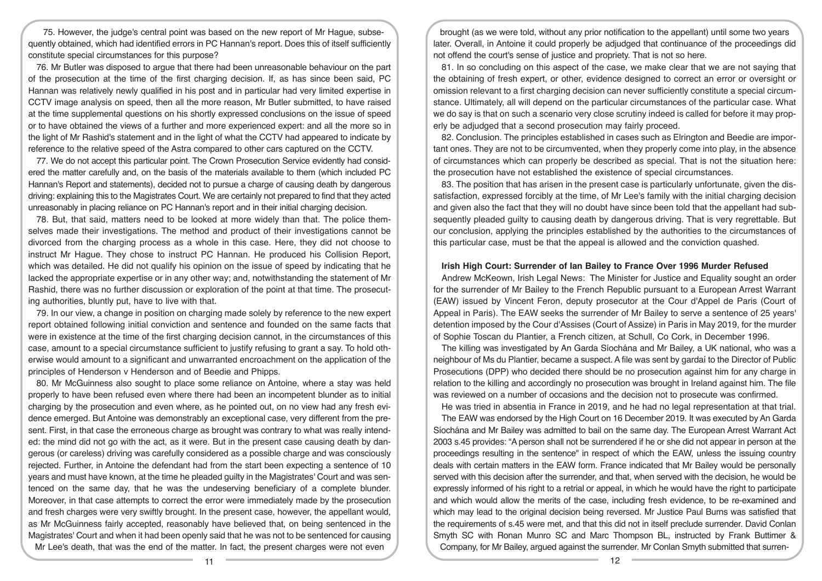75. However, the judge's central point was based on the new report of Mr Hague, subsequently obtained, which had identified errors in PC Hannan's report. Does this of itself sufficiently constitute special circumstances for this purpose?

76. Mr Butler was disposed to argue that there had been unreasonable behaviour on the part of the prosecution at the time of the first charging decision. If, as has since been said, PC Hannan was relatively newly qualified in his post and in particular had very limited expertise in CCTV image analysis on speed, then all the more reason, Mr Butler submitted, to have raised at the time supplemental questions on his shortly expressed conclusions on the issue of speed or to have obtained the views of a further and more experienced expert: and all the more so in the light of Mr Rashid's statement and in the light of what the CCTV had appeared to indicate by reference to the relative speed of the Astra compared to other cars captured on the CCTV.

77. We do not accept this particular point. The Crown Prosecution Service evidently had considered the matter carefully and, on the basis of the materials available to them (which included PC Hannan's Report and statements), decided not to pursue a charge of causing death by dangerous driving: explaining this to the Magistrates Court. We are certainly not prepared to find that they acted unreasonably in placing reliance on PC Hannan's report and in their initial charging decision.

78. But, that said, matters need to be looked at more widely than that. The police themselves made their investigations. The method and product of their investigations cannot be divorced from the charging process as a whole in this case. Here, they did not choose to instruct Mr Hague. They chose to instruct PC Hannan. He produced his Collision Report, which was detailed. He did not qualify his opinion on the issue of speed by indicating that he lacked the appropriate expertise or in any other way; and, notwithstanding the statement of Mr Rashid, there was no further discussion or exploration of the point at that time. The prosecuting authorities, bluntly put, have to live with that.

79. In our view, a change in position on charging made solely by reference to the new expert report obtained following initial conviction and sentence and founded on the same facts that were in existence at the time of the first charging decision cannot, in the circumstances of this case, amount to a special circumstance sufficient to justify refusing to grant a say. To hold otherwise would amount to a significant and unwarranted encroachment on the application of the principles of Henderson v Henderson and of Beedie and Phipps.

80. Mr McGuinness also sought to place some reliance on Antoine, where a stay was held properly to have been refused even where there had been an incompetent blunder as to initial charging by the prosecution and even where, as he pointed out, on no view had any fresh evidence emerged. But Antoine was demonstrably an exceptional case, very different from the present. First, in that case the erroneous charge as brought was contrary to what was really intended: the mind did not go with the act, as it were. But in the present case causing death by dangerous (or careless) driving was carefully considered as a possible charge and was consciously rejected. Further, in Antoine the defendant had from the start been expecting a sentence of 10 years and must have known, at the time he pleaded guilty in the Magistrates' Court and was sentenced on the same day, that he was the undeserving beneficiary of a complete blunder. Moreover, in that case attempts to correct the error were immediately made by the prosecution and fresh charges were very swiftly brought. In the present case, however, the appellant would, as Mr McGuinness fairly accepted, reasonably have believed that, on being sentenced in the Magistrates' Court and when it had been openly said that he was not to be sentenced for causing Mr Lee's death, that was the end of the matter. In fact, the present charges were not even

brought (as we were told, without any prior notification to the appellant) until some two years later. Overall, in Antoine it could properly be adjudged that continuance of the proceedings did not offend the court's sense of justice and propriety. That is not so here.

81. In so concluding on this aspect of the case, we make clear that we are not saying that the obtaining of fresh expert, or other, evidence designed to correct an error or oversight or omission relevant to a first charging decision can never sufficiently constitute a special circumstance. Ultimately, all will depend on the particular circumstances of the particular case. What we do say is that on such a scenario very close scrutiny indeed is called for before it may properly be adjudged that a second prosecution may fairly proceed.

82. Conclusion. The principles established in cases such as Elrington and Beedie are important ones. They are not to be circumvented, when they properly come into play, in the absence of circumstances which can properly be described as special. That is not the situation here: the prosecution have not established the existence of special circumstances.

83. The position that has arisen in the present case is particularly unfortunate, given the dissatisfaction, expressed forcibly at the time, of Mr Lee's family with the initial charging decision and given also the fact that they will no doubt have since been told that the appellant had subsequently pleaded guilty to causing death by dangerous driving. That is very regrettable. But our conclusion, applying the principles established by the authorities to the circumstances of this particular case, must be that the appeal is allowed and the conviction quashed.

# **Irish High Court: Surrender of Ian Bailey to France Over 1996 Murder Refused**

Andrew McKeown, Irish Legal News: The Minister for Justice and Equality sought an order for the surrender of Mr Bailey to the French Republic pursuant to a European Arrest Warrant (EAW) issued by Vincent Feron, deputy prosecutor at the Cour d'Appel de Paris (Court of Appeal in Paris). The EAW seeks the surrender of Mr Bailey to serve a sentence of 25 years' detention imposed by the Cour d'Assises (Court of Assize) in Paris in May 2019, for the murder of Sophie Toscan du Plantier, a French citizen, at Schull, Co Cork, in December 1996.

The killing was investigated by An Garda Síochána and Mr Bailey, a UK national, who was a neighbour of Ms du Plantier, became a suspect. A file was sent by gardaí to the Director of Public Prosecutions (DPP) who decided there should be no prosecution against him for any charge in relation to the killing and accordingly no prosecution was brought in Ireland against him. The file was reviewed on a number of occasions and the decision not to prosecute was confirmed.

He was tried in absentia in France in 2019, and he had no legal representation at that trial.

The EAW was endorsed by the High Court on 16 December 2019. It was executed by An Garda Síochána and Mr Bailey was admitted to bail on the same day. The European Arrest Warrant Act 2003 s.45 provides: "A person shall not be surrendered if he or she did not appear in person at the proceedings resulting in the sentence" in respect of which the EAW, unless the issuing country deals with certain matters in the EAW form. France indicated that Mr Bailey would be personally served with this decision after the surrender, and that, when served with the decision, he would be expressly informed of his right to a retrial or appeal, in which he would have the right to participate and which would allow the merits of the case, including fresh evidence, to be re-examined and which may lead to the original decision being reversed. Mr Justice Paul Burns was satisfied that the requirements of s.45 were met, and that this did not in itself preclude surrender. David Conlan Smyth SC with Ronan Munro SC and Marc Thompson BL, instructed by Frank Buttimer & Company, for Mr Bailey, argued against the surrender. Mr Conlan Smyth submitted that surren-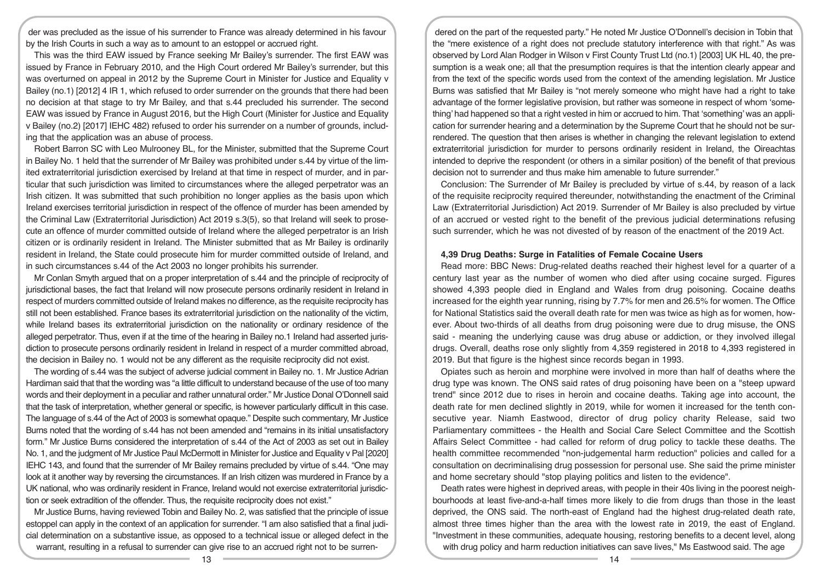der was precluded as the issue of his surrender to France was already determined in his favour by the Irish Courts in such a way as to amount to an estoppel or accrued right.

This was the third EAW issued by France seeking Mr Bailey's surrender. The first EAW was issued by France in February 2010, and the High Court ordered Mr Bailey's surrender, but this was overturned on appeal in 2012 by the Supreme Court in Minister for Justice and Equality v Bailey (no.1) [2012] 4 IR 1, which refused to order surrender on the grounds that there had been no decision at that stage to try Mr Bailey, and that s.44 precluded his surrender. The second EAW was issued by France in August 2016, but the High Court (Minister for Justice and Equality v Bailey (no.2) [2017] IEHC 482) refused to order his surrender on a number of grounds, including that the application was an abuse of process.

Robert Barron SC with Leo Mulrooney BL, for the Minister, submitted that the Supreme Court in Bailey No. 1 held that the surrender of Mr Bailey was prohibited under s.44 by virtue of the limited extraterritorial jurisdiction exercised by Ireland at that time in respect of murder, and in particular that such jurisdiction was limited to circumstances where the alleged perpetrator was an Irish citizen. It was submitted that such prohibition no longer applies as the basis upon which Ireland exercises territorial jurisdiction in respect of the offence of murder has been amended by the Criminal Law (Extraterritorial Jurisdiction) Act 2019 s.3(5), so that Ireland will seek to prosecute an offence of murder committed outside of Ireland where the alleged perpetrator is an Irish citizen or is ordinarily resident in Ireland. The Minister submitted that as Mr Bailey is ordinarily resident in Ireland, the State could prosecute him for murder committed outside of Ireland, and in such circumstances s.44 of the Act 2003 no longer prohibits his surrender.

Mr Conlan Smyth argued that on a proper interpretation of s.44 and the principle of reciprocity of jurisdictional bases, the fact that Ireland will now prosecute persons ordinarily resident in Ireland in respect of murders committed outside of Ireland makes no difference, as the requisite reciprocity has still not been established. France bases its extraterritorial jurisdiction on the nationality of the victim, while Ireland bases its extraterritorial jurisdiction on the nationality or ordinary residence of the alleged perpetrator. Thus, even if at the time of the hearing in Bailey no.1 Ireland had asserted jurisdiction to prosecute persons ordinarily resident in Ireland in respect of a murder committed abroad, the decision in Bailey no. 1 would not be any different as the requisite reciprocity did not exist.

The wording of s.44 was the subject of adverse judicial comment in Bailey no. 1. Mr Justice Adrian Hardiman said that that the wording was "a little difficult to understand because of the use of too many words and their deployment in a peculiar and rather unnatural order." Mr Justice Donal O'Donnell said that the task of interpretation, whether general or specific, is however particularly difficult in this case. The language of s.44 of the Act of 2003 is somewhat opaque." Despite such commentary, Mr Justice Burns noted that the wording of s.44 has not been amended and "remains in its initial unsatisfactory form." Mr Justice Burns considered the interpretation of s.44 of the Act of 2003 as set out in Bailey No. 1, and the judgment of Mr Justice Paul McDermott in Minister for Justice and Equality v Pal [2020] IEHC 143, and found that the surrender of Mr Bailey remains precluded by virtue of s.44. "One may look at it another way by reversing the circumstances. If an Irish citizen was murdered in France by a UK national, who was ordinarily resident in France, Ireland would not exercise extraterritorial jurisdiction or seek extradition of the offender. Thus, the requisite reciprocity does not exist."

Mr Justice Burns, having reviewed Tobin and Bailey No. 2, was satisfied that the principle of issue estoppel can apply in the context of an application for surrender. "I am also satisfied that a final judicial determination on a substantive issue, as opposed to a technical issue or alleged defect in the warrant, resulting in a refusal to surrender can give rise to an accrued right not to be surren-

dered on the part of the requested party." He noted Mr Justice O'Donnell's decision in Tobin that the "mere existence of a right does not preclude statutory interference with that right." As was observed by Lord Alan Rodger in Wilson v First County Trust Ltd (no.1) [2003] UK HL 40, the presumption is a weak one; all that the presumption requires is that the intention clearly appear and from the text of the specific words used from the context of the amending legislation. Mr Justice Burns was satisfied that Mr Bailey is "not merely someone who might have had a right to take advantage of the former legislative provision, but rather was someone in respect of whom 'something' had happened so that a right vested in him or accrued to him. That 'something' was an application for surrender hearing and a determination by the Supreme Court that he should not be surrendered. The question that then arises is whether in changing the relevant legislation to extend extraterritorial jurisdiction for murder to persons ordinarily resident in Ireland, the Oireachtas intended to deprive the respondent (or others in a similar position) of the benefit of that previous decision not to surrender and thus make him amenable to future surrender."

Conclusion: The Surrender of Mr Bailey is precluded by virtue of s.44, by reason of a lack of the requisite reciprocity required thereunder, notwithstanding the enactment of the Criminal Law (Extraterritorial Jurisdiction) Act 2019. Surrender of Mr Bailey is also precluded by virtue of an accrued or vested right to the benefit of the previous judicial determinations refusing such surrender, which he was not divested of by reason of the enactment of the 2019 Act.

# **4,39 Drug Deaths: Surge in Fatalities of Female Cocaine Users**

Read more: BBC News: Drug-related deaths reached their highest level for a quarter of a century last year as the number of women who died after using cocaine surged. Figures showed 4,393 people died in England and Wales from drug poisoning. Cocaine deaths increased for the eighth year running, rising by 7.7% for men and 26.5% for women. The Office for National Statistics said the overall death rate for men was twice as high as for women, however. About two-thirds of all deaths from drug poisoning were due to drug misuse, the ONS said - meaning the underlying cause was drug abuse or addiction, or they involved illegal drugs. Overall, deaths rose only slightly from 4,359 registered in 2018 to 4,393 registered in 2019. But that figure is the highest since records began in 1993.

Opiates such as heroin and morphine were involved in more than half of deaths where the drug type was known. The ONS said rates of drug poisoning have been on a "steep upward trend" since 2012 due to rises in heroin and cocaine deaths. Taking age into account, the death rate for men declined slightly in 2019, while for women it increased for the tenth consecutive year. Niamh Eastwood, director of drug policy charity Release, said two Parliamentary committees - the Health and Social Care Select Committee and the Scottish Affairs Select Committee - had called for reform of drug policy to tackle these deaths. The health committee recommended "non-judgemental harm reduction" policies and called for a consultation on decriminalising drug possession for personal use. She said the prime minister and home secretary should "stop playing politics and listen to the evidence".

Death rates were highest in deprived areas, with people in their 40s living in the poorest neighbourhoods at least five-and-a-half times more likely to die from drugs than those in the least deprived, the ONS said. The north-east of England had the highest drug-related death rate, almost three times higher than the area with the lowest rate in 2019, the east of England. "Investment in these communities, adequate housing, restoring benefits to a decent level, along with drug policy and harm reduction initiatives can save lives," Ms Eastwood said. The age